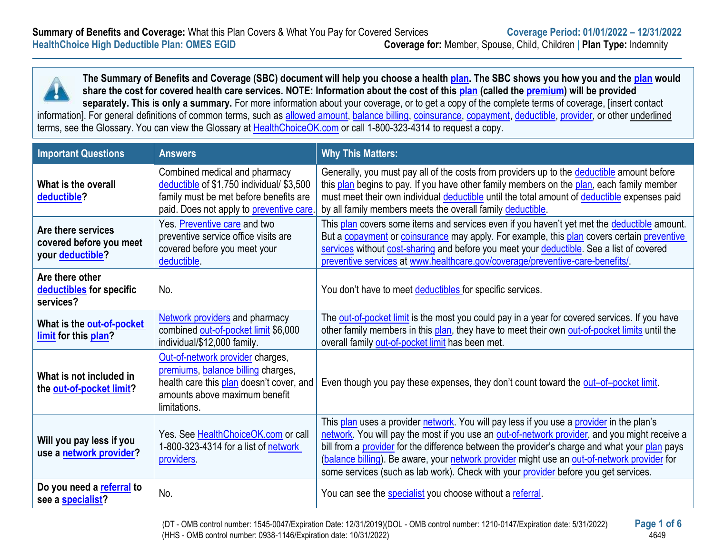

**The Summary of Benefits and Coverage (SBC) document will help you choose a healt[h plan.](https://www.healthcare.gov/sbc-glossary/#plan) The SBC shows you how you and the [plan](https://www.healthcare.gov/sbc-glossary/#plan) would share the cost for covered health care services. NOTE: Information about the cost of this [plan](https://www.healthcare.gov/sbc-glossary/#plan) (called the [premium\)](https://www.healthcare.gov/sbc-glossary/#premium) will be provided separately. This is only a summary.** For more information about your coverage, or to get a copy of the complete terms of coverage, [insert contact

information]. For general definitions of common terms, such as [allowed amount,](https://www.healthcare.gov/sbc-glossary/#allowed-amount) [balance billing,](https://www.healthcare.gov/sbc-glossary/#balance-billing) [coinsurance,](https://www.healthcare.gov/sbc-glossary/#coinsurance) [copayment,](https://www.healthcare.gov/sbc-glossary/#copayment) [deductible,](https://www.healthcare.gov/sbc-glossary/#deductible) [provider,](https://www.healthcare.gov/sbc-glossary/#provider) or other underlined terms, see the Glossary. You can view the Glossary at [HealthChoiceOK.com](https://oklahoma.gov/content/dam/ok/en/omes/documents/uniform-glossary-final.pdf) or call 1-800-323-4314 to request a copy.

| <b>Important Questions</b>                                        | <b>Answers</b>                                                                                                                                                      | <b>Why This Matters:</b>                                                                                                                                                                                                                                                                                                                                                                                                                                                         |
|-------------------------------------------------------------------|---------------------------------------------------------------------------------------------------------------------------------------------------------------------|----------------------------------------------------------------------------------------------------------------------------------------------------------------------------------------------------------------------------------------------------------------------------------------------------------------------------------------------------------------------------------------------------------------------------------------------------------------------------------|
| What is the overall<br>deductible?                                | Combined medical and pharmacy<br>deductible of \$1,750 individual/ \$3,500<br>family must be met before benefits are<br>paid. Does not apply to preventive care.    | Generally, you must pay all of the costs from providers up to the deductible amount before<br>this plan begins to pay. If you have other family members on the plan, each family member<br>must meet their own individual deductible until the total amount of deductible expenses paid<br>by all family members meets the overall family deductible.                                                                                                                            |
| Are there services<br>covered before you meet<br>your deductible? | Yes. Preventive care and two<br>preventive service office visits are<br>covered before you meet your<br>deductible.                                                 | This plan covers some items and services even if you haven't yet met the deductible amount.<br>But a copayment or coinsurance may apply. For example, this plan covers certain preventive<br>services without cost-sharing and before you meet your deductible. See a list of covered<br>preventive services at www.healthcare.gov/coverage/preventive-care-benefits/                                                                                                            |
| Are there other<br>deductibles for specific<br>services?          | No.                                                                                                                                                                 | You don't have to meet deductibles for specific services.                                                                                                                                                                                                                                                                                                                                                                                                                        |
| What is the out-of-pocket<br>limit for this plan?                 | <b>Network providers and pharmacy</b><br>combined out-of-pocket limit \$6,000<br>individual/\$12,000 family.                                                        | The out-of-pocket limit is the most you could pay in a year for covered services. If you have<br>other family members in this plan, they have to meet their own out-of-pocket limits until the<br>overall family out-of-pocket limit has been met.                                                                                                                                                                                                                               |
| What is not included in<br>the out-of-pocket limit?               | Out-of-network provider charges,<br>premiums, balance billing charges,<br>health care this plan doesn't cover, and<br>amounts above maximum benefit<br>limitations. | Even though you pay these expenses, they don't count toward the out-of-pocket limit.                                                                                                                                                                                                                                                                                                                                                                                             |
| Will you pay less if you<br>use a network provider?               | Yes. See HealthChoiceOK.com or call<br>1-800-323-4314 for a list of network<br>providers.                                                                           | This plan uses a provider network. You will pay less if you use a provider in the plan's<br>network. You will pay the most if you use an out-of-network provider, and you might receive a<br>bill from a provider for the difference between the provider's charge and what your plan pays<br>(balance billing). Be aware, your network provider might use an out-of-network provider for<br>some services (such as lab work). Check with your provider before you get services. |
| Do you need a referral to<br>see a specialist?                    | No.                                                                                                                                                                 | You can see the specialist you choose without a referral.                                                                                                                                                                                                                                                                                                                                                                                                                        |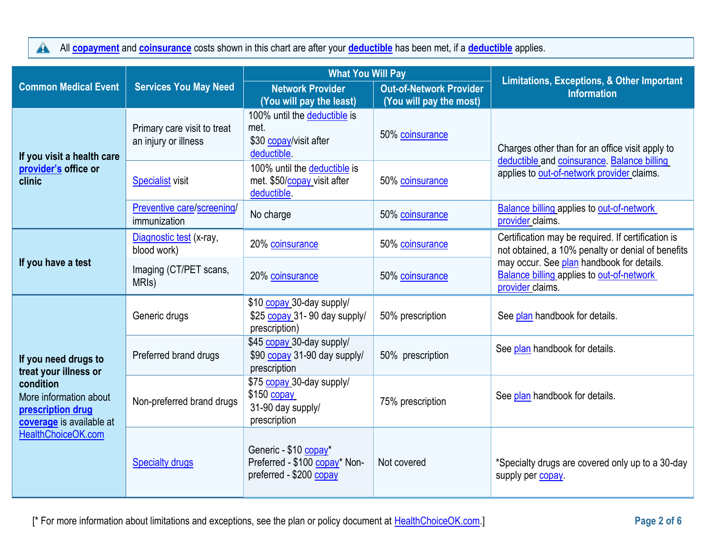$\blacktriangle$ All **[copayment](https://www.healthcare.gov/sbc-glossary/#copayment)** and **[coinsurance](https://www.healthcare.gov/sbc-glossary/#coinsurance)** costs shown in this chart are after your **[deductible](https://www.healthcare.gov/sbc-glossary/#deductible)** has been met, if a **[deductible](https://www.healthcare.gov/sbc-glossary/#deductible)** applies.

|                                                                                                                                                             |                                                     | <b>What You Will Pay</b>                                                          |                                                           |                                                                                                                                              |  |
|-------------------------------------------------------------------------------------------------------------------------------------------------------------|-----------------------------------------------------|-----------------------------------------------------------------------------------|-----------------------------------------------------------|----------------------------------------------------------------------------------------------------------------------------------------------|--|
| <b>Common Medical Event</b>                                                                                                                                 | <b>Services You May Need</b>                        | <b>Network Provider</b><br>(You will pay the least)                               | <b>Out-of-Network Provider</b><br>(You will pay the most) | <b>Limitations, Exceptions, &amp; Other Important</b><br><b>Information</b>                                                                  |  |
| If you visit a health care<br>provider's office or<br>clinic                                                                                                | Primary care visit to treat<br>an injury or illness | 100% until the deductible is<br>met.<br>\$30 copay/visit after<br>deductible.     | 50% coinsurance                                           | Charges other than for an office visit apply to<br>deductible and coinsurance. Balance billing<br>applies to out-of-network provider claims. |  |
|                                                                                                                                                             | <b>Specialist</b> visit                             | 100% until the deductible is<br>met. \$50/copay visit after<br>deductible.        | 50% coinsurance                                           |                                                                                                                                              |  |
|                                                                                                                                                             | Preventive care/screening/<br>immunization          | No charge                                                                         | 50% coinsurance                                           | <b>Balance billing applies to out-of-network</b><br>provider claims.                                                                         |  |
| If you have a test                                                                                                                                          | Diagnostic test (x-ray,<br>blood work)              | 20% coinsurance                                                                   | 50% coinsurance                                           | Certification may be required. If certification is<br>not obtained, a 10% penalty or denial of benefits                                      |  |
|                                                                                                                                                             | Imaging (CT/PET scans,<br>MRI <sub>s</sub> )        | 20% coinsurance                                                                   | 50% coinsurance                                           | may occur. See plan handbook for details.<br><b>Balance billing applies to out-of-network</b><br>provider claims.                            |  |
| If you need drugs to<br>treat your illness or<br>condition<br>More information about<br>prescription drug<br>coverage is available at<br>HealthChoiceOK.com | Generic drugs                                       | \$10 copay 30-day supply/<br>\$25 copay 31-90 day supply/<br>prescription)        | 50% prescription                                          | See plan handbook for details.                                                                                                               |  |
|                                                                                                                                                             | Preferred brand drugs                               | \$45 copay 30-day supply/<br>\$90 copay 31-90 day supply/<br>prescription         | 50% prescription                                          | See plan handbook for details.                                                                                                               |  |
|                                                                                                                                                             | Non-preferred brand drugs                           | \$75 copay 30-day supply/<br>$$150$ copay<br>31-90 day supply/<br>prescription    | 75% prescription                                          | See plan handbook for details.                                                                                                               |  |
|                                                                                                                                                             | <b>Specialty drugs</b>                              | Generic - \$10 copay*<br>Preferred - \$100 copay* Non-<br>preferred - \$200 copay | Not covered                                               | *Specialty drugs are covered only up to a 30-day<br>supply per copay.                                                                        |  |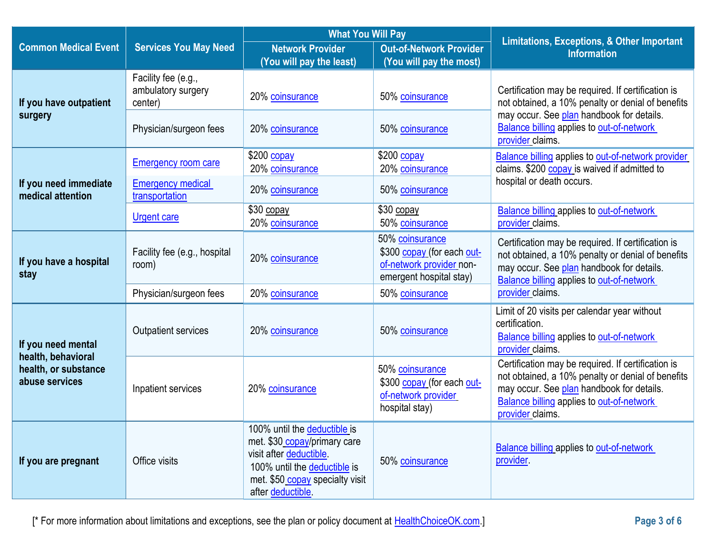|                                            |                                                      | <b>What You Will Pay</b>                                                                                                                                                        |                                                                                                      | <b>Limitations, Exceptions, &amp; Other Important</b>                                                                                                                                                                        |
|--------------------------------------------|------------------------------------------------------|---------------------------------------------------------------------------------------------------------------------------------------------------------------------------------|------------------------------------------------------------------------------------------------------|------------------------------------------------------------------------------------------------------------------------------------------------------------------------------------------------------------------------------|
| <b>Common Medical Event</b>                | <b>Services You May Need</b>                         | <b>Network Provider</b><br>(You will pay the least)                                                                                                                             | <b>Out-of-Network Provider</b><br>(You will pay the most)                                            | <b>Information</b>                                                                                                                                                                                                           |
| If you have outpatient                     | Facility fee (e.g.,<br>ambulatory surgery<br>center) | 20% coinsurance                                                                                                                                                                 | 50% coinsurance                                                                                      | Certification may be required. If certification is<br>not obtained, a 10% penalty or denial of benefits                                                                                                                      |
| surgery                                    | Physician/surgeon fees                               | 20% coinsurance                                                                                                                                                                 | 50% coinsurance                                                                                      | may occur. See plan handbook for details.<br><b>Balance billing applies to out-of-network</b><br>provider claims.                                                                                                            |
|                                            | <b>Emergency room care</b>                           | $$200$ copay<br>20% coinsurance                                                                                                                                                 | \$200 copay<br>20% coinsurance                                                                       | <b>Balance billing applies to out-of-network provider</b><br>claims. \$200 copay is waived if admitted to                                                                                                                    |
| If you need immediate<br>medical attention | <b>Emergency medical</b><br>transportation           | 20% coinsurance                                                                                                                                                                 | 50% coinsurance                                                                                      | hospital or death occurs.                                                                                                                                                                                                    |
|                                            | <b>Urgent care</b>                                   | \$30 copay<br>20% coinsurance                                                                                                                                                   | \$30 copay<br>50% coinsurance                                                                        | <b>Balance billing applies to out-of-network</b><br>provider claims.                                                                                                                                                         |
| If you have a hospital<br>stay             | Facility fee (e.g., hospital<br>room)                | 20% coinsurance                                                                                                                                                                 | 50% coinsurance<br>\$300 copay (for each out-<br>of-network provider non-<br>emergent hospital stay) | Certification may be required. If certification is<br>not obtained, a 10% penalty or denial of benefits<br>may occur. See plan handbook for details.<br><b>Balance billing applies to out-of-network</b>                     |
|                                            | Physician/surgeon fees                               | 20% coinsurance                                                                                                                                                                 | 50% coinsurance                                                                                      | provider claims.                                                                                                                                                                                                             |
| If you need mental<br>health, behavioral   | <b>Outpatient services</b>                           | 20% coinsurance                                                                                                                                                                 | 50% coinsurance                                                                                      | Limit of 20 visits per calendar year without<br>certification.<br><b>Balance billing applies to out-of-network</b><br>provider claims.                                                                                       |
| health, or substance<br>abuse services     | Inpatient services                                   | 20% coinsurance                                                                                                                                                                 | 50% coinsurance<br>\$300 copay (for each out-<br>of-network provider<br>hospital stay)               | Certification may be required. If certification is<br>not obtained, a 10% penalty or denial of benefits<br>may occur. See plan handbook for details.<br><b>Balance billing applies to out-of-network</b><br>provider claims. |
| If you are pregnant                        | Office visits                                        | 100% until the deductible is<br>met. \$30 copay/primary care<br>visit after deductible.<br>100% until the deductible is<br>met. \$50 copay specialty visit<br>after deductible. | 50% coinsurance                                                                                      | <b>Balance billing applies to out-of-network</b><br>provider.                                                                                                                                                                |

[\* For more information about limitations and exceptions, see the plan or policy document at [HealthChoiceOK.com.](https://oklahoma.gov/healthchoice.html)] **Page 3 of 6**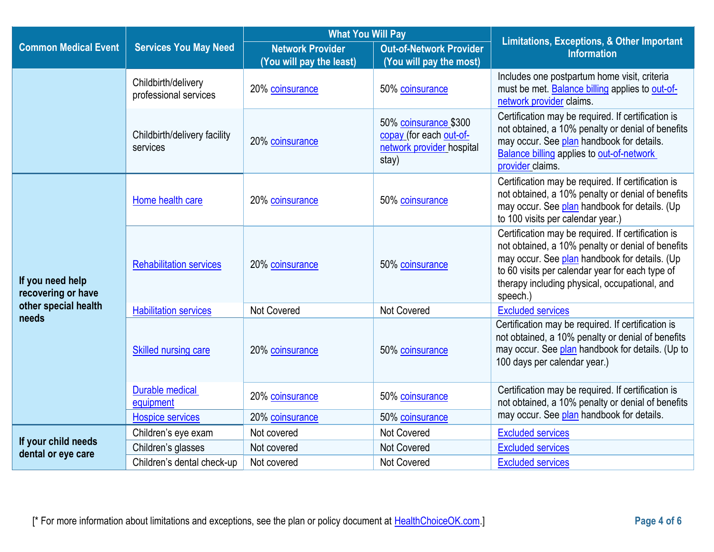|                                        |                                              | <b>What You Will Pay</b>                            |                                                                                        | <b>Limitations, Exceptions, &amp; Other Important</b>                                                                                                                                                                                                                    |  |
|----------------------------------------|----------------------------------------------|-----------------------------------------------------|----------------------------------------------------------------------------------------|--------------------------------------------------------------------------------------------------------------------------------------------------------------------------------------------------------------------------------------------------------------------------|--|
| <b>Common Medical Event</b>            | <b>Services You May Need</b>                 | <b>Network Provider</b><br>(You will pay the least) | <b>Out-of-Network Provider</b><br>(You will pay the most)                              | <b>Information</b>                                                                                                                                                                                                                                                       |  |
|                                        | Childbirth/delivery<br>professional services | 20% coinsurance                                     | 50% coinsurance                                                                        | Includes one postpartum home visit, criteria<br>must be met. Balance billing applies to out-of-<br>network provider claims.                                                                                                                                              |  |
|                                        | Childbirth/delivery facility<br>services     | 20% coinsurance                                     | 50% coinsurance \$300<br>copay (for each out-of-<br>network provider hospital<br>stay) | Certification may be required. If certification is<br>not obtained, a 10% penalty or denial of benefits<br>may occur. See plan handbook for details.<br><b>Balance billing applies to out-of-network</b><br>provider claims.                                             |  |
| If you need help<br>recovering or have | Home health care                             | 20% coinsurance                                     | 50% coinsurance                                                                        | Certification may be required. If certification is<br>not obtained, a 10% penalty or denial of benefits<br>may occur. See plan handbook for details. (Up<br>to 100 visits per calendar year.)                                                                            |  |
|                                        | <b>Rehabilitation services</b>               | 20% coinsurance                                     | 50% coinsurance                                                                        | Certification may be required. If certification is<br>not obtained, a 10% penalty or denial of benefits<br>may occur. See plan handbook for details. (Up<br>to 60 visits per calendar year for each type of<br>therapy including physical, occupational, and<br>speech.) |  |
| other special health                   | <b>Habilitation services</b>                 | <b>Not Covered</b>                                  | <b>Not Covered</b>                                                                     | <b>Excluded services</b>                                                                                                                                                                                                                                                 |  |
| needs                                  | <b>Skilled nursing care</b>                  | 20% coinsurance                                     | 50% coinsurance                                                                        | Certification may be required. If certification is<br>not obtained, a 10% penalty or denial of benefits<br>may occur. See plan handbook for details. (Up to<br>100 days per calendar year.)                                                                              |  |
|                                        | <b>Durable medical</b><br>equipment          | 20% coinsurance                                     | 50% coinsurance                                                                        | Certification may be required. If certification is<br>not obtained, a 10% penalty or denial of benefits<br>may occur. See plan handbook for details.                                                                                                                     |  |
|                                        | <b>Hospice services</b>                      | 20% coinsurance                                     | 50% coinsurance                                                                        |                                                                                                                                                                                                                                                                          |  |
| If your child needs                    | Children's eye exam                          | Not covered                                         | <b>Not Covered</b>                                                                     | <b>Excluded services</b>                                                                                                                                                                                                                                                 |  |
| dental or eye care                     | Children's glasses                           | Not covered                                         | <b>Not Covered</b>                                                                     | <b>Excluded services</b>                                                                                                                                                                                                                                                 |  |
|                                        | Children's dental check-up                   | Not covered                                         | <b>Not Covered</b>                                                                     | <b>Excluded services</b>                                                                                                                                                                                                                                                 |  |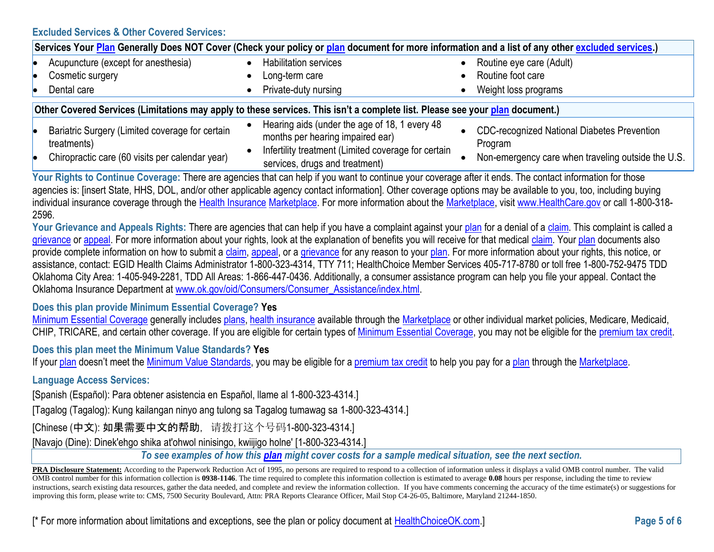#### **Excluded Services & Other Covered Services:**

| Services Your <mark>Plan</mark> Generally Does NOT Cover (Check your policy or plan document for more information and a list of any other <u>excluded services</u> .) |                                                                                                                                          |                                                               |  |
|-----------------------------------------------------------------------------------------------------------------------------------------------------------------------|------------------------------------------------------------------------------------------------------------------------------------------|---------------------------------------------------------------|--|
| Acupuncture (except for anesthesia)                                                                                                                                   | <b>Habilitation services</b>                                                                                                             | • Routine eye care (Adult)                                    |  |
| Cosmetic surgery                                                                                                                                                      | Long-term care                                                                                                                           | • Routine foot care                                           |  |
| Dental care                                                                                                                                                           | Private-duty nursing                                                                                                                     | Weight loss programs                                          |  |
| Other Covered Services (Limitations may apply to these services. This isn't a complete list. Please see your plan document.)                                          |                                                                                                                                          |                                                               |  |
| Bariatric Surgery (Limited coverage for certain<br>treatments)                                                                                                        | Hearing aids (under the age of 18, 1 every 48<br>months per hearing impaired ear)<br>Infertility treatment (Limited coverage for certain | <b>CDC-recognized National Diabetes Prevention</b><br>Program |  |
| Chiropractic care (60 visits per calendar year)                                                                                                                       | services, drugs and treatment)                                                                                                           | Non-emergency care when traveling outside the U.S.            |  |

Your Rights to Continue Coverage: There are agencies that can help if you want to continue your coverage after it ends. The contact information for those agencies is: [insert State, HHS, DOL, and/or other applicable agency contact information]. Other coverage options may be available to you, too, including buying individual insurance coverage through the [Health Insurance](https://www.healthcare.gov/sbc-glossary/#health-insurance) [Marketplace.](https://www.healthcare.gov/sbc-glossary/#marketplace) For more information about the [Marketplace,](https://www.healthcare.gov/sbc-glossary/#marketplace) visi[t www.HealthCare.gov](http://www.healthcare.gov/) or call 1-800-318-2596.

Your Grievance and Appeals Rights: There are agencies that can help if you have a complaint against your [plan](https://www.healthcare.gov/sbc-glossary/#plan) for a denial of [a claim.](https://www.healthcare.gov/sbc-glossary/#claim) This complaint is called a [grievance](https://www.healthcare.gov/sbc-glossary/#grievance) or [appeal.](https://www.healthcare.gov/sbc-glossary/#appeal) For more information about your rights, look at the explanation of benefits you will receive for that medical [claim.](https://www.healthcare.gov/sbc-glossary/#claim) You[r plan](https://www.healthcare.gov/sbc-glossary/#plan) documents also provide complete information on how to submit a [claim,](https://www.healthcare.gov/sbc-glossary/#claim) [appeal,](https://www.healthcare.gov/sbc-glossary/#appeal) or a [grievance](https://www.healthcare.gov/sbc-glossary/#grievance) for any reason to your [plan.](https://www.healthcare.gov/sbc-glossary/#plan) For more information about your rights, this notice, or assistance, contact: EGID Health Claims Administrator 1-800-323-4314, TTY 711; HealthChoice Member Services 405-717-8780 or toll free 1-800-752-9475 TDD Oklahoma City Area: 1-405-949-2281, TDD All Areas: 1-866-447-0436. Additionally, a consumer assistance program can help you file your appeal. Contact the Oklahoma Insurance Department at [www.ok.gov/oid/Consumers/Consumer\\_Assistance/index.html.](http://www.ok.gov/oid/Consumers/Consumer_Assistance/index.html)

## **Does this plan provide Minimum Essential Coverage? Yes**

[Minimum Essential Coverage](https://www.healthcare.gov/sbc-glossary/#minimum-essential-coverage) generally includes [plans,](https://www.healthcare.gov/sbc-glossary/#plan) [health insurance](https://www.healthcare.gov/sbc-glossary/#health-insurance) available through the [Marketplace](https://www.healthcare.gov/sbc-glossary/#marketplace) or other individual market policies, Medicare, Medicaid, CHIP, TRICARE, and certain other coverage. If you are eligible for certain types of [Minimum Essential Coverage,](https://www.healthcare.gov/sbc-glossary/#minimum-essential-coverage) you may not be eligible for the [premium tax credit.](https://www.healthcare.gov/sbc-glossary/#premium-tax-credits)

## **Does this plan meet the Minimum Value Standards? Yes**

If your [plan](https://www.healthcare.gov/sbc-glossary/#plan) doesn't meet the [Minimum Value Standards,](https://www.healthcare.gov/sbc-glossary/#minimum-value-standard) you may be eligible for a [premium tax credit](https://www.healthcare.gov/sbc-glossary/#premium-tax-credits) to help you pay for a plan through the [Marketplace.](https://www.healthcare.gov/sbc-glossary/#marketplace)

### **Language Access Services:**

[Spanish (Español): Para obtener asistencia en Español, llame al 1-800-323-4314.]

[Tagalog (Tagalog): Kung kailangan ninyo ang tulong sa Tagalog tumawag sa 1-800-323-4314.]

[Chinese (中文): 如果需要中文的帮助, 请拨打这个号码1-800-323-4314.]

[Navajo (Dine): Dinek'ehgo shika at'ohwol ninisingo, kwiijigo holne' [1-800-323-4314.]

*To see examples of how this [plan](https://www.healthcare.gov/sbc-glossary/#plan) might cover costs for a sample medical situation, see the next section.*

PRA Disclosure Statement: According to the Paperwork Reduction Act of 1995, no persons are required to respond to a collection of information unless it displays a valid OMB control number. The valid OMB control number for this information collection is **0938-1146**. The time required to complete this information collection is estimated to average **0.08** hours per response, including the time to review instructions, search existing data resources, gather the data needed, and complete and review the information collection. If you have comments concerning the accuracy of the time estimate(s) or suggestions for improving this form, please write to: CMS, 7500 Security Boulevard, Attn: PRA Reports Clearance Officer, Mail Stop C4-26-05, Baltimore, Maryland 21244-1850.